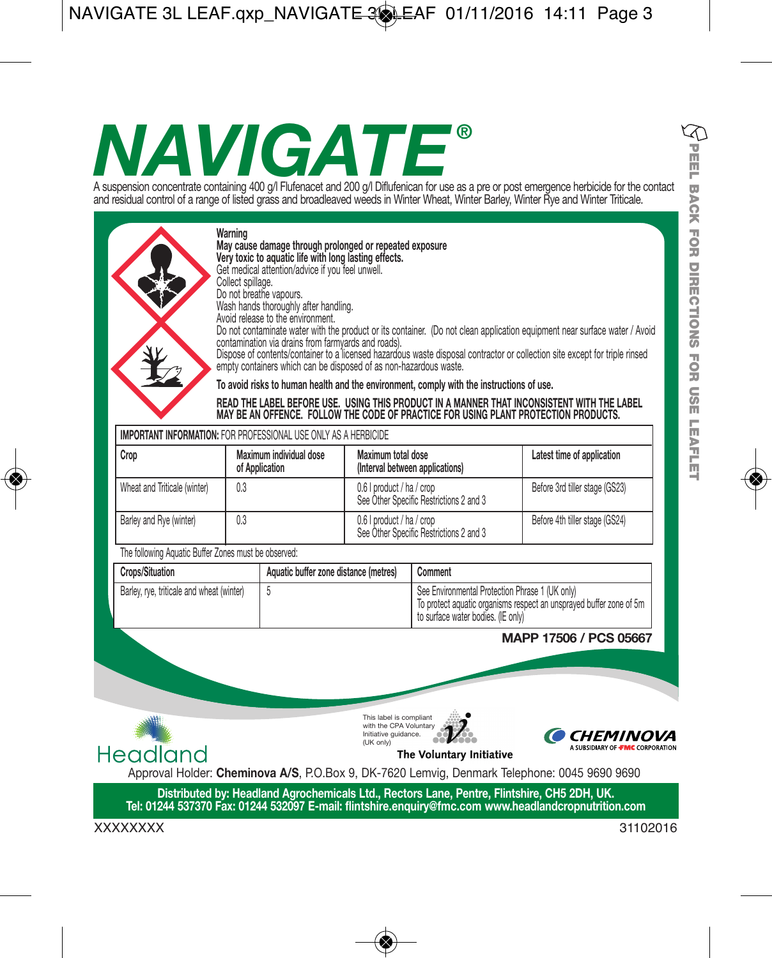# *NAVIGATE ®*

A suspension concentrate containing 400 g/i Hufenacet and 200 g/i Diflufenican for use as a pre or post emergence nerbicide for the contact<br>and residual control of a range of listed grass and broadleaved weeds in Winter Wh

|                                                                 | Collect spillage. | Very toxic to aquatic life with long lasting effects.<br>Get medical attention/advice if you feel unwell.<br>Do not breathe vapours.<br>Wash hands thoroughly after handling.<br>Avoid release to the environment.<br>contamination via drains from farmyards and roads).<br>empty containers which can be disposed of as non-hazardous waste. |                                                                                                                                                              |                                                                                          | Do not contaminate water with the product or its container. (Do not clean application equipment near surface water / Avoid<br>Dispose of contents/container to a licensed hazardous waste disposal contractor or collection site except for triple rinsed |
|-----------------------------------------------------------------|-------------------|------------------------------------------------------------------------------------------------------------------------------------------------------------------------------------------------------------------------------------------------------------------------------------------------------------------------------------------------|--------------------------------------------------------------------------------------------------------------------------------------------------------------|------------------------------------------------------------------------------------------|-----------------------------------------------------------------------------------------------------------------------------------------------------------------------------------------------------------------------------------------------------------|
|                                                                 |                   |                                                                                                                                                                                                                                                                                                                                                |                                                                                                                                                              | To avoid risks to human health and the environment, comply with the instructions of use. |                                                                                                                                                                                                                                                           |
|                                                                 |                   |                                                                                                                                                                                                                                                                                                                                                |                                                                                                                                                              | MAY BE AN OFFENCE. FOLLOW THE CODE OF PRACTICE FOR USING PLANT PROTECTION PRODUCTS.      | READ THE LABEL BEFORE USE. USING THIS PRODUCT IN A MANNER THAT INCONSISTENT WITH THE LABEL                                                                                                                                                                |
| IMPORTANT INFORMATION: FOR PROFESSIONAL USE ONLY AS A HERBICIDE |                   |                                                                                                                                                                                                                                                                                                                                                |                                                                                                                                                              |                                                                                          |                                                                                                                                                                                                                                                           |
| Crop                                                            |                   | Maximum individual dose<br>of Application                                                                                                                                                                                                                                                                                                      | Maximum total dose<br>(Interval between applications)                                                                                                        |                                                                                          | Latest time of application                                                                                                                                                                                                                                |
| Wheat and Triticale (winter)                                    | 0.3               |                                                                                                                                                                                                                                                                                                                                                | 0.6   product / ha / crop<br>See Other Specific Restrictions 2 and 3                                                                                         |                                                                                          | Before 3rd tiller stage (GS23)                                                                                                                                                                                                                            |
| Barley and Rye (winter)                                         | 0.3               |                                                                                                                                                                                                                                                                                                                                                | 0.6   product / ha / crop<br>See Other Specific Restrictions 2 and 3                                                                                         |                                                                                          | Before 4th tiller stage (GS24)                                                                                                                                                                                                                            |
| The following Aquatic Buffer Zones must be observed:            |                   |                                                                                                                                                                                                                                                                                                                                                |                                                                                                                                                              |                                                                                          |                                                                                                                                                                                                                                                           |
| Crops/Situation                                                 |                   | Aquatic buffer zone distance (metres)                                                                                                                                                                                                                                                                                                          | Comment                                                                                                                                                      |                                                                                          |                                                                                                                                                                                                                                                           |
| Barley, rye, triticale and wheat (winter)<br>5                  |                   |                                                                                                                                                                                                                                                                                                                                                | See Environmental Protection Phrase 1 (UK only)<br>To protect aquatic organisms respect an unsprayed buffer zone of 5m<br>to surface water bodies. (IE only) |                                                                                          |                                                                                                                                                                                                                                                           |
|                                                                 |                   |                                                                                                                                                                                                                                                                                                                                                |                                                                                                                                                              |                                                                                          | MAPP 17506 / PCS 05667                                                                                                                                                                                                                                    |
|                                                                 |                   |                                                                                                                                                                                                                                                                                                                                                |                                                                                                                                                              |                                                                                          |                                                                                                                                                                                                                                                           |
|                                                                 |                   |                                                                                                                                                                                                                                                                                                                                                |                                                                                                                                                              |                                                                                          |                                                                                                                                                                                                                                                           |
| <b>Headland</b>                                                 |                   |                                                                                                                                                                                                                                                                                                                                                | This label is compliant<br>with the CPA Voluntary<br>Initiative guidance.<br>(UK only)                                                                       | The Voluntary Initiative                                                                 | <b>CHEMINOVA</b><br>A SURSIDIARY OF FINIC CORPORATION                                                                                                                                                                                                     |
|                                                                 |                   |                                                                                                                                                                                                                                                                                                                                                |                                                                                                                                                              |                                                                                          | Approval Holder: Cheminova A/S, P.O.Box 9, DK-7620 Lemvig, Denmark Telephone: 0045 9690 9690                                                                                                                                                              |

XXXXXXXX 31102016

**PEEL**

জ

**BACK FOR**

**DIRECTIONS**

**FOR USE**

**LEAFLET**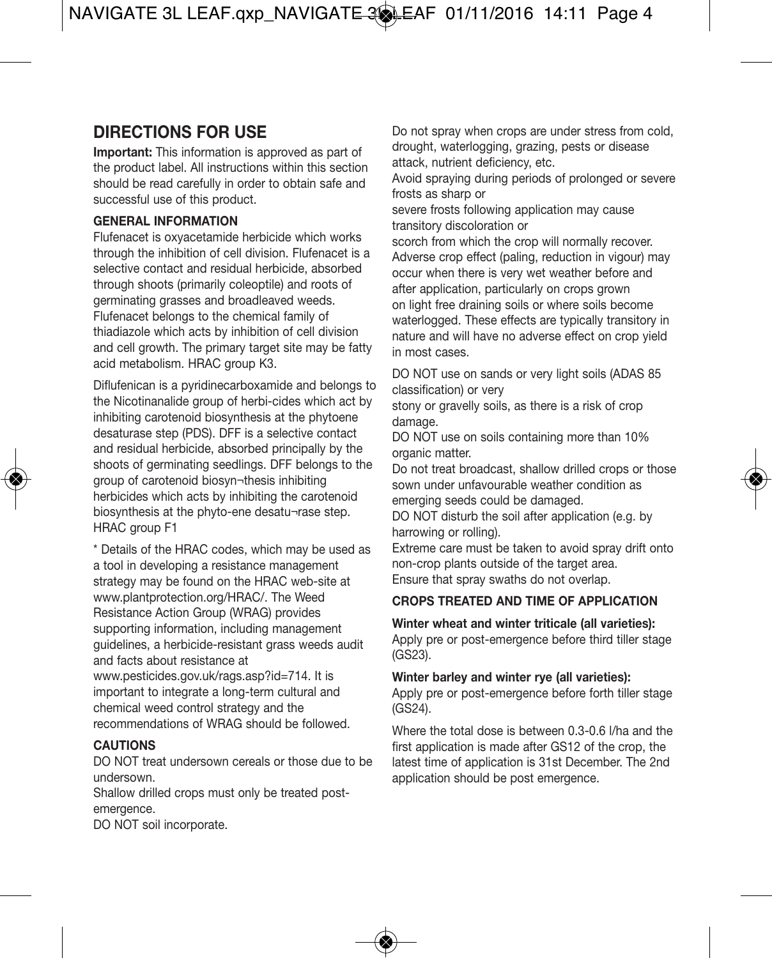### **DIRECTIONS FOR USE**

**Important:** This information is approved as part of the product label. All instructions within this section should be read carefully in order to obtain safe and successful use of this product.

#### **GENERAL INFORMATION**

Flufenacet is oxyacetamide herbicide which works through the inhibition of cell division. Flufenacet is a selective contact and residual herbicide, absorbed through shoots (primarily coleoptile) and roots of germinating grasses and broadleaved weeds. Flufenacet belongs to the chemical family of thiadiazole which acts by inhibition of cell division and cell growth. The primary target site may be fatty acid metabolism. HRAC group K3.

Diflufenican is a pyridinecarboxamide and belongs to the Nicotinanalide group of herbi-cides which act by inhibiting carotenoid biosynthesis at the phytoene desaturase step (PDS). DFF is a selective contact and residual herbicide, absorbed principally by the shoots of germinating seedlings. DFF belongs to the group of carotenoid biosyn¬thesis inhibiting herbicides which acts by inhibiting the carotenoid biosynthesis at the phyto-ene desatu¬rase step. HRAC group F1

\* Details of the HRAC codes, which may be used as a tool in developing a resistance management strategy may be found on the HRAC web-site at www.plantprotection.org/HRAC/. The Weed Resistance Action Group (WRAG) provides supporting information, including management guidelines, a herbicide-resistant grass weeds audit and facts about resistance at

www.pesticides.gov.uk/rags.asp?id=714. It is important to integrate a long-term cultural and chemical weed control strategy and the recommendations of WRAG should be followed.

#### **CAUTIONS**

DO NOT treat undersown cereals or those due to be undersown.

Shallow drilled crops must only be treated postemergence.

DO NOT soil incorporate.

Do not spray when crops are under stress from cold, drought, waterlogging, grazing, pests or disease attack, nutrient deficiency, etc.

Avoid spraying during periods of prolonged or severe frosts as sharp or

severe frosts following application may cause transitory discoloration or

scorch from which the crop will normally recover. Adverse crop effect (paling, reduction in vigour) may occur when there is very wet weather before and after application, particularly on crops grown on light free draining soils or where soils become waterlogged. These effects are typically transitory in nature and will have no adverse effect on crop yield in most cases.

DO NOT use on sands or very light soils (ADAS 85 classification) or very

stony or gravelly soils, as there is a risk of crop damage.

DO NOT use on soils containing more than 10% organic matter.

Do not treat broadcast, shallow drilled crops or those sown under unfavourable weather condition as emerging seeds could be damaged.

DO NOT disturb the soil after application (e.g. by harrowing or rolling).

Extreme care must be taken to avoid spray drift onto non-crop plants outside of the target area. Ensure that spray swaths do not overlap.

#### **CROPS TREATED AND TIME OF APPLICATION**

**Winter wheat and winter triticale (all varieties):** Apply pre or post-emergence before third tiller stage (GS23).

**Winter barley and winter rye (all varieties):**

Apply pre or post-emergence before forth tiller stage (GS24).

Where the total dose is between 0.3-0.6 l/ha and the first application is made after GS12 of the crop, the latest time of application is 31st December. The 2nd application should be post emergence.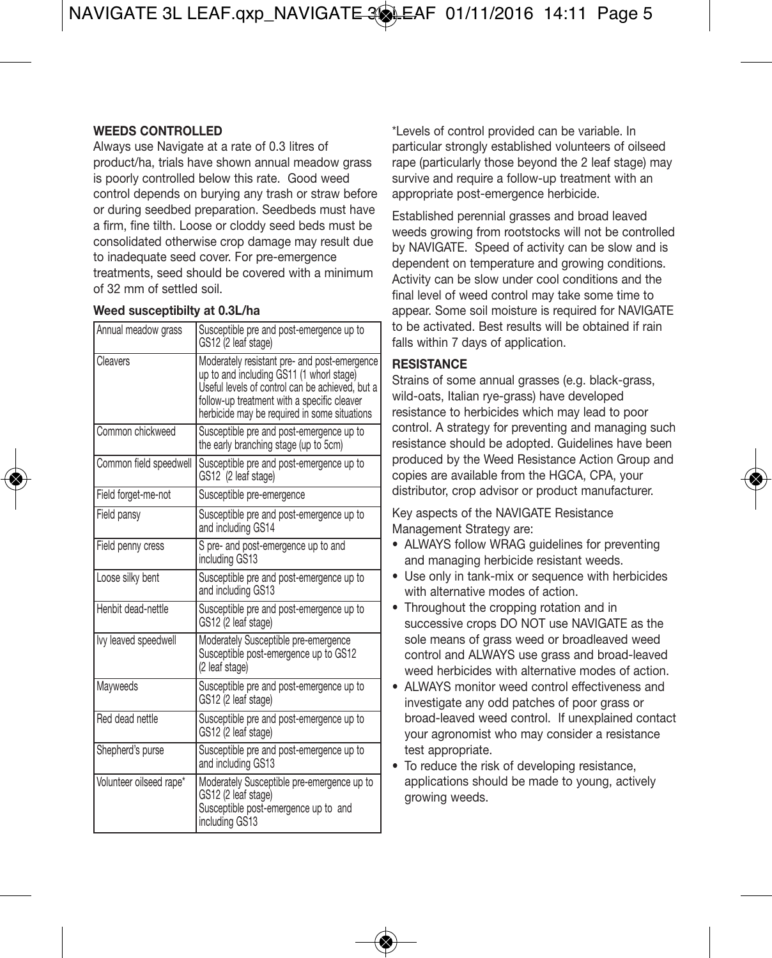#### **WEEDS CONTROLLED**

Always use Navigate at a rate of 0.3 litres of product/ha, trials have shown annual meadow grass is poorly controlled below this rate. Good weed control depends on burying any trash or straw before or during seedbed preparation. Seedbeds must have a firm, fine tilth. Loose or cloddy seed beds must be consolidated otherwise crop damage may result due to inadequate seed cover. For pre-emergence treatments, seed should be covered with a minimum of 32 mm of settled soil.

#### **Weed susceptibilty at 0.3L/ha**

| Annual meadow grass     | Susceptible pre and post-emergence up to<br>GS12 (2 leaf stage)                                                                                                                                                                            |  |  |
|-------------------------|--------------------------------------------------------------------------------------------------------------------------------------------------------------------------------------------------------------------------------------------|--|--|
| Cleavers                | Moderately resistant pre- and post-emergence<br>up to and including GS11 (1 whorl stage)<br>Useful levels of control can be achieved, but a<br>follow-up treatment with a specific cleaver<br>herbicide may be required in some situations |  |  |
| Common chickweed        | Susceptible pre and post-emergence up to<br>the early branching stage (up to 5cm)                                                                                                                                                          |  |  |
| Common field speedwell  | Susceptible pre and post-emergence up to<br>GS12 (2 leaf stage)                                                                                                                                                                            |  |  |
| Field forget-me-not     | Susceptible pre-emergence                                                                                                                                                                                                                  |  |  |
| Field pansy             | Susceptible pre and post-emergence up to<br>and including GS14                                                                                                                                                                             |  |  |
| Field penny cress       | S pre- and post-emergence up to and<br>including GS13                                                                                                                                                                                      |  |  |
| Loose silky bent        | Susceptible pre and post-emergence up to<br>and including GS13                                                                                                                                                                             |  |  |
| Henbit dead-nettle      | Susceptible pre and post-emergence up to<br>GS12 (2 leaf stage)                                                                                                                                                                            |  |  |
| Ivv leaved speedwell    | Moderately Susceptible pre-emergence<br>Susceptible post-emergence up to GS12<br>(2 leaf stage)                                                                                                                                            |  |  |
| Mavweeds                | Susceptible pre and post-emergence up to<br>GS12 (2 leaf stage)                                                                                                                                                                            |  |  |
| Red dead nettle         | Susceptible pre and post-emergence up to<br>GS12 (2 leaf stage)                                                                                                                                                                            |  |  |
| Shepherd's purse        | Susceptible pre and post-emergence up to<br>and including GS13                                                                                                                                                                             |  |  |
| Volunteer oilseed rape* | Moderately Susceptible pre-emergence up to<br>GS12 (2 leaf stage)<br>Susceptible post-emergence up to and<br>including GS13                                                                                                                |  |  |

\*Levels of control provided can be variable. In particular strongly established volunteers of oilseed rape (particularly those beyond the 2 leaf stage) may survive and require a follow-up treatment with an appropriate post-emergence herbicide.

Established perennial grasses and broad leaved weeds growing from rootstocks will not be controlled by NAVIGATE. Speed of activity can be slow and is dependent on temperature and growing conditions. Activity can be slow under cool conditions and the final level of weed control may take some time to appear. Some soil moisture is required for NAVIGATE to be activated. Best results will be obtained if rain falls within 7 days of application.

#### **RESISTANCE**

Strains of some annual grasses (e.g. black-grass, wild-oats, Italian rye-grass) have developed resistance to herbicides which may lead to poor control. A strategy for preventing and managing such resistance should be adopted. Guidelines have been produced by the Weed Resistance Action Group and copies are available from the HGCA, CPA, your distributor, crop advisor or product manufacturer.

Key aspects of the NAVIGATE Resistance Management Strategy are:

- ALWAYS follow WRAG guidelines for preventing and managing herbicide resistant weeds.
- Use only in tank-mix or sequence with herbicides with alternative modes of action.
- Throughout the cropping rotation and in successive crops DO NOT use NAVIGATE as the sole means of grass weed or broadleaved weed control and ALWAYS use grass and broad-leaved weed herbicides with alternative modes of action.
- ALWAYS monitor weed control effectiveness and investigate any odd patches of poor grass or broad-leaved weed control. If unexplained contact your agronomist who may consider a resistance test appropriate.
- To reduce the risk of developing resistance, applications should be made to young, actively growing weeds.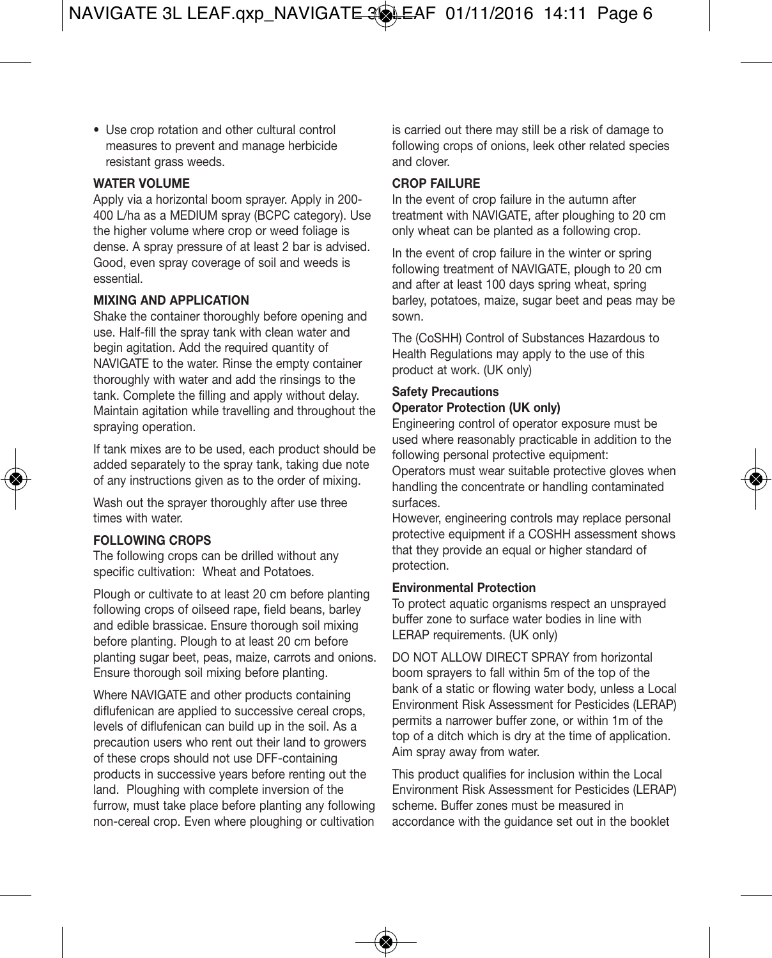• Use crop rotation and other cultural control measures to prevent and manage herbicide resistant grass weeds.

#### **WATER VOLUME**

Apply via a horizontal boom sprayer. Apply in 200- 400 L/ha as a MEDIUM spray (BCPC category). Use the higher volume where crop or weed foliage is dense. A spray pressure of at least 2 bar is advised. Good, even spray coverage of soil and weeds is essential.

#### **MIXING AND APPLICATION**

Shake the container thoroughly before opening and use. Half-fill the spray tank with clean water and begin agitation. Add the required quantity of NAVIGATE to the water. Rinse the empty container thoroughly with water and add the rinsings to the tank. Complete the filling and apply without delay. Maintain agitation while travelling and throughout the spraying operation.

If tank mixes are to be used, each product should be added separately to the spray tank, taking due note of any instructions given as to the order of mixing.

Wash out the sprayer thoroughly after use three times with water.

#### **FOLLOWING CROPS**

The following crops can be drilled without any specific cultivation: Wheat and Potatoes.

Plough or cultivate to at least 20 cm before planting following crops of oilseed rape, field beans, barley and edible brassicae. Ensure thorough soil mixing before planting. Plough to at least 20 cm before planting sugar beet, peas, maize, carrots and onions. Ensure thorough soil mixing before planting.

Where NAVIGATE and other products containing diflufenican are applied to successive cereal crops, levels of diflufenican can build up in the soil. As a precaution users who rent out their land to growers of these crops should not use DFF-containing products in successive years before renting out the land. Ploughing with complete inversion of the furrow, must take place before planting any following non-cereal crop. Even where ploughing or cultivation is carried out there may still be a risk of damage to following crops of onions, leek other related species and clover.

#### **CROP FAILURE**

In the event of crop failure in the autumn after treatment with NAVIGATE, after ploughing to 20 cm only wheat can be planted as a following crop.

In the event of crop failure in the winter or spring following treatment of NAVIGATE, plough to 20 cm and after at least 100 days spring wheat, spring barley, potatoes, maize, sugar beet and peas may be sown.

The (CoSHH) Control of Substances Hazardous to Health Regulations may apply to the use of this product at work. (UK only)

#### **Safety Precautions**

#### **Operator Protection (UK only)**

Engineering control of operator exposure must be used where reasonably practicable in addition to the following personal protective equipment: Operators must wear suitable protective gloves when handling the concentrate or handling contaminated surfaces.

However, engineering controls may replace personal protective equipment if a COSHH assessment shows that they provide an equal or higher standard of protection.

#### **Environmental Protection**

To protect aquatic organisms respect an unsprayed buffer zone to surface water bodies in line with LERAP requirements. (UK only)

DO NOT ALLOW DIRECT SPRAY from horizontal boom sprayers to fall within 5m of the top of the bank of a static or flowing water body, unless a Local Environment Risk Assessment for Pesticides (LERAP) permits a narrower buffer zone, or within 1m of the top of a ditch which is dry at the time of application. Aim spray away from water.

This product qualifies for inclusion within the Local Environment Risk Assessment for Pesticides (LERAP) scheme. Buffer zones must be measured in accordance with the guidance set out in the booklet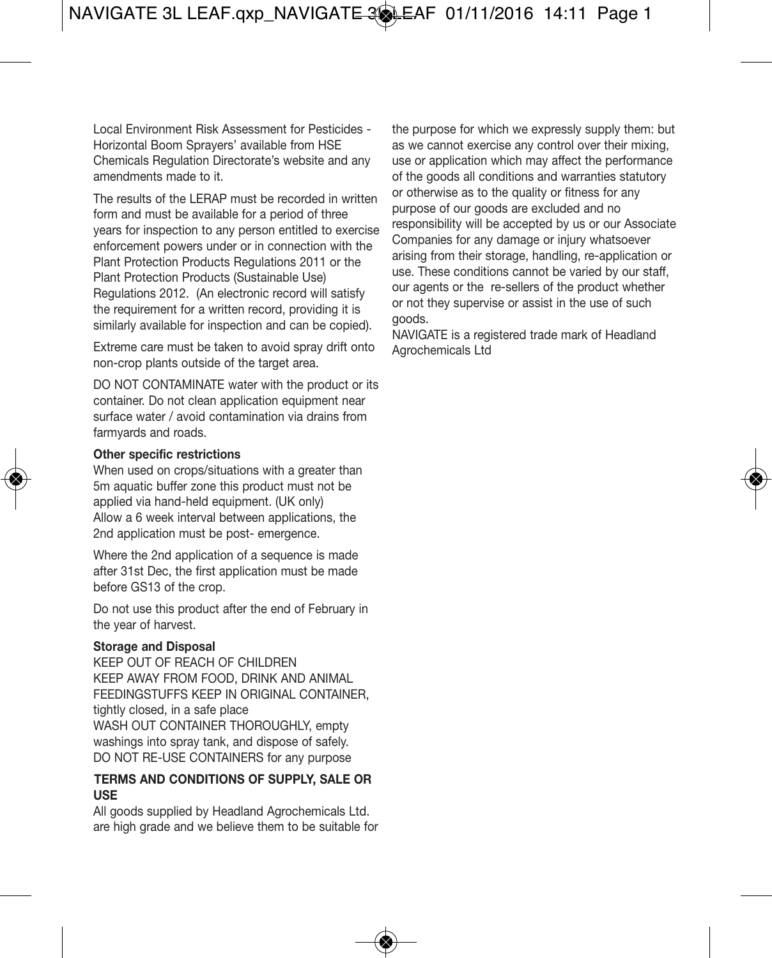## NAVIGATE 3L LEAF.qxp\_NAVIGATE 3L LEAF 01/11/2016 14:11 Page 1

Local Environment Risk Assessment for Pesticides - Horizontal Boom Sprayers' available from HSE Chemicals Regulation Directorate's website and any amendments made to it.

The results of the LERAP must be recorded in written form and must be available for a period of three years for inspection to any person entitled to exercise enforcement powers under or in connection with the Plant Protection Products Regulations 2011 or the Plant Protection Products (Sustainable Use) Regulations 2012. (An electronic record will satisfy the requirement for a written record, providing it is similarly available for inspection and can be copied).

Extreme care must be taken to avoid spray drift onto non-crop plants outside of the target area.

DO NOT CONTAMINATE water with the product or its container. Do not clean application equipment near surface water / avoid contamination via drains from farmyards and roads.

#### **Other specific restrictions**

When used on crops/situations with a greater than 5m aquatic buffer zone this product must not be applied via hand-held equipment. (UK only) Allow a 6 week interval between applications, the 2nd application must be post- emergence.

Where the 2nd application of a sequence is made after 31st Dec, the first application must be made before GS13 of the crop.

Do not use this product after the end of February in the year of harvest.

#### **Storage and Disposal**

KEEP OUT OF REACH OF CHILDREN KEEP AWAY FROM FOOD, DRINK AND ANIMAL FEEDINGSTUFFS KEEP IN ORIGINAL CONTAINER, tightly closed, in a safe place WASH OUT CONTAINER THOROUGHLY, empty washings into spray tank, and dispose of safely. DO NOT RE-USE CONTAINERS for any purpose

#### **TERMS AND CONDITIONS OF SUPPLY, SALE OR USE**

All goods supplied by Headland Agrochemicals Ltd. are high grade and we believe them to be suitable for the purpose for which we expressly supply them: but as we cannot exercise any control over their mixing, use or application which may affect the performance of the goods all conditions and warranties statutory or otherwise as to the quality or fitness for any purpose of our goods are excluded and no responsibility will be accepted by us or our Associate Companies for any damage or injury whatsoever arising from their storage, handling, re-application or use. These conditions cannot be varied by our staff, our agents or the re-sellers of the product whether or not they supervise or assist in the use of such goods.

NAVIGATE is a registered trade mark of Headland Agrochemicals Ltd